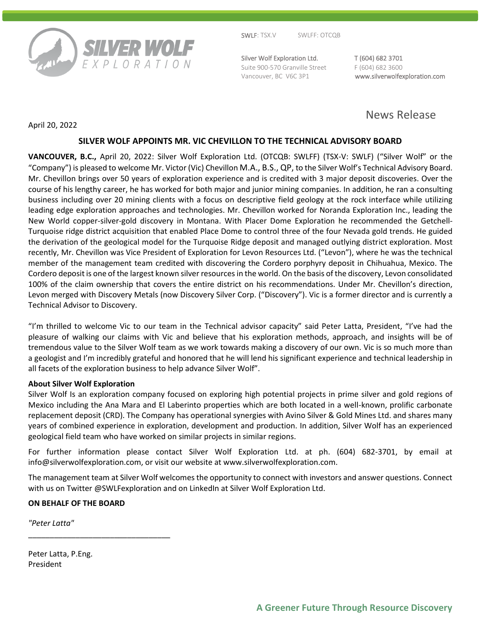

SWLF: TSX.V SWLFF: OTCQB

Silver Wolf Exploration Ltd. T (604) 682 3701 Suite 900-570 Granville Street F (604) 682 3600

Vancouver, BC V6C 3P1 www.silverwolfexploration.com

# News Release

April 20, 2022

## **SILVER WOLF APPOINTS MR. VIC CHEVILLON TO THE TECHNICAL ADVISORY BOARD**

**VANCOUVER, B.C.,** April 20, 2022: Silver Wolf Exploration Ltd. (OTCQB: SWLFF) (TSX-V: SWLF) ("Silver Wolf" or the "Company") is pleased to welcome Mr. Victor (Vic) Chevillon M.A., B.S., QP, to the Silver Wolf's Technical Advisory Board. Mr. Chevillon brings over 50 years of exploration experience and is credited with 3 major deposit discoveries. Over the course of his lengthy career, he has worked for both major and junior mining companies. In addition, he ran a consulting business including over 20 mining clients with a focus on descriptive field geology at the rock interface while utilizing leading edge exploration approaches and technologies. Mr. Chevillon worked for Noranda Exploration Inc., leading the New World copper-silver-gold discovery in Montana. With Placer Dome Exploration he recommended the Getchell-Turquoise ridge district acquisition that enabled Place Dome to control three of the four Nevada gold trends. He guided the derivation of the geological model for the Turquoise Ridge deposit and managed outlying district exploration. Most recently, Mr. Chevillon was Vice President of Exploration for Levon Resources Ltd. ("Levon"), where he was the technical member of the management team credited with discovering the Cordero porphyry deposit in Chihuahua, Mexico. The Cordero deposit is one of the largest known silver resources in the world. On the basis of the discovery, Levon consolidated 100% of the claim ownership that covers the entire district on his recommendations. Under Mr. Chevillon's direction, Levon merged with Discovery Metals (now Discovery Silver Corp. ("Discovery"). Vic is a former director and is currently a Technical Advisor to Discovery.

"I'm thrilled to welcome Vic to our team in the Technical advisor capacity" said Peter Latta, President, "I've had the pleasure of walking our claims with Vic and believe that his exploration methods, approach, and insights will be of tremendous value to the Silver Wolf team as we work towards making a discovery of our own. Vic is so much more than a geologist and I'm incredibly grateful and honored that he will lend his significant experience and technical leadership in all facets of the exploration business to help advance Silver Wolf".

### **About Silver Wolf Exploration**

Silver Wolf Is an exploration company focused on exploring high potential projects in prime silver and gold regions of Mexico including the Ana Mara and El Laberinto properties which are both located in a well-known, prolific carbonate replacement deposit (CRD). The Company has operational synergies with Avino Silver & Gold Mines Ltd. and shares many years of combined experience in exploration, development and production. In addition, Silver Wolf has an experienced geological field team who have worked on similar projects in similar regions.

For further information please contact Silver Wolf Exploration Ltd. at ph. (604) 682-3701, by email at info@silverwolfexploration.com, or visit our website at www.silverwolfexploration.com.

The management team at Silver Wolf welcomes the opportunity to connect with investors and answer questions. Connect with us on Twitter @SWLFexploration and on LinkedIn at Silver Wolf Exploration Ltd.

## **ON BEHALF OF THE BOARD**

\_\_\_\_\_\_\_\_\_\_\_\_\_\_\_\_\_\_\_\_\_\_\_\_\_\_\_\_\_\_\_\_\_

*"Peter Latta"*

Peter Latta, P.Eng. President